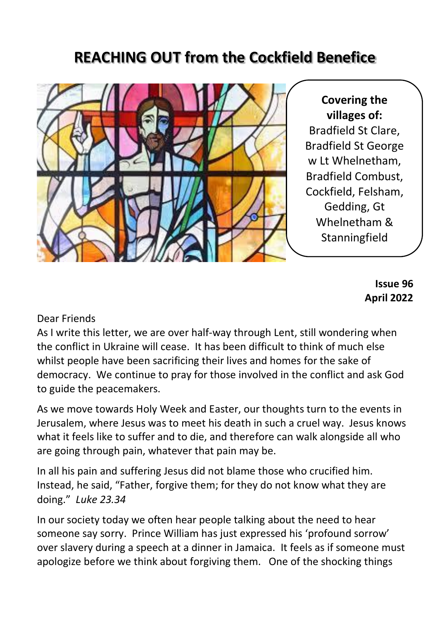# **REACHING OUT from the Cockfield Benefice**



**Covering the villages of:** Bradfield St Clare, Bradfield St George w Lt Whelnetham, Bradfield Combust, Cockfield, Felsham, Gedding, Gt Whelnetham & **Stanningfield** 

> **Issue 96 April 2022**

#### Dear Friends

As I write this letter, we are over half-way through Lent, still wondering when the conflict in Ukraine will cease. It has been difficult to think of much else whilst people have been sacrificing their lives and homes for the sake of democracy. We continue to pray for those involved in the conflict and ask God to guide the peacemakers.

As we move towards Holy Week and Easter, our thoughts turn to the events in Jerusalem, where Jesus was to meet his death in such a cruel way. Jesus knows what it feels like to suffer and to die, and therefore can walk alongside all who are going through pain, whatever that pain may be.

In all his pain and suffering Jesus did not blame those who crucified him. Instead, he said, "Father, forgive them; for they do not know what they are doing." *Luke 23.34*

In our society today we often hear people talking about the need to hear someone say sorry. Prince William has just expressed his 'profound sorrow' over slavery during a speech at a dinner in Jamaica. It feels as if someone must apologize before we think about forgiving them. One of the shocking things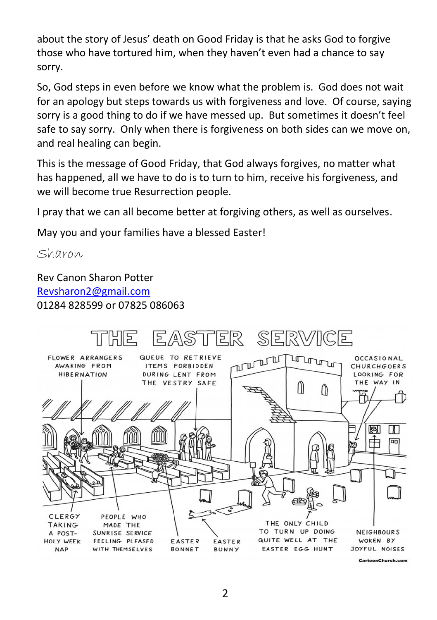about the story of Jesus' death on Good Friday is that he asks God to forgive those who have tortured him, when they haven't even had a chance to say sorry.

So, God steps in even before we know what the problem is. God does not wait for an apology but steps towards us with forgiveness and love. Of course, saying sorry is a good thing to do if we have messed up. But sometimes it doesn't feel safe to say sorry. Only when there is forgiveness on both sides can we move on, and real healing can begin.

This is the message of Good Friday, that God always forgives, no matter what has happened, all we have to do is to turn to him, receive his forgiveness, and we will become true Resurrection people.

I pray that we can all become better at forgiving others, as well as ourselves.

May you and your families have a blessed Easter!

Sharon

Rev Canon Sharon Potter [Revsharon2@gmail.com](mailto:Revsharon2@gmail.com) 01284 828599 or 07825 086063

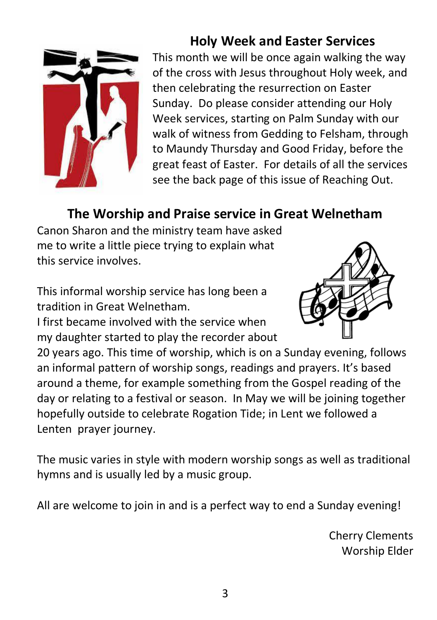

# **Holy Week and Easter Services**

This month we will be once again walking the way of the cross with Jesus throughout Holy week, and then celebrating the resurrection on Easter Sunday. Do please consider attending our Holy Week services, starting on Palm Sunday with our walk of witness from Gedding to Felsham, through to Maundy Thursday and Good Friday, before the great feast of Easter. For details of all the services see the back page of this issue of Reaching Out.

## **The Worship and Praise service in Great Welnetham**

Canon Sharon and the ministry team have asked me to write a little piece trying to explain what this service involves.

This informal worship service has long been a tradition in Great Welnetham.

I first became involved with the service when my daughter started to play the recorder about



20 years ago. This time of worship, which is on a Sunday evening, follows an informal pattern of worship songs, readings and prayers. It's based around a theme, for example something from the Gospel reading of the day or relating to a festival or season. In May we will be joining together hopefully outside to celebrate Rogation Tide; in Lent we followed a Lenten prayer journey.

The music varies in style with modern worship songs as well as traditional hymns and is usually led by a music group.

All are welcome to join in and is a perfect way to end a Sunday evening!

Cherry Clements Worship Elder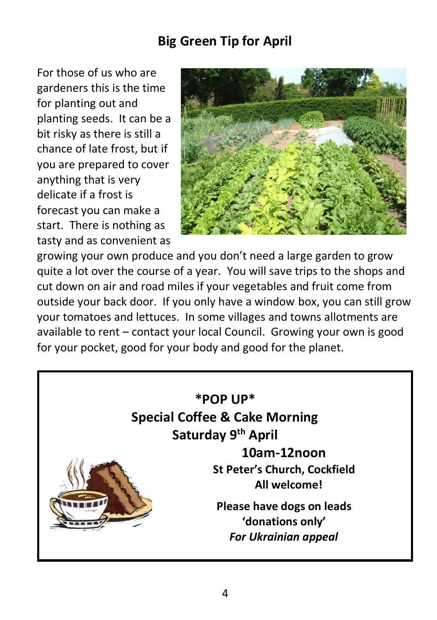## **Big Green Tip for April**

For those of us who are gardeners this is the time for planting out and planting seeds. It can be a bit risky as there is still a chance of late frost, but if you are prepared to cover anything that is very delicate if a frost is forecast you can make a start. There is nothing as tasty and as convenient as



growing your own produce and you don't need a large garden to grow quite a lot over the course of a year. You will save trips to the shops and cut down on air and road miles if your vegetables and fruit come from outside your back door. If you only have a window box, you can still grow your tomatoes and lettuces. In some villages and towns allotments are available to rent – contact your local Council. Growing your own is good for your pocket, good for your body and good for the planet.

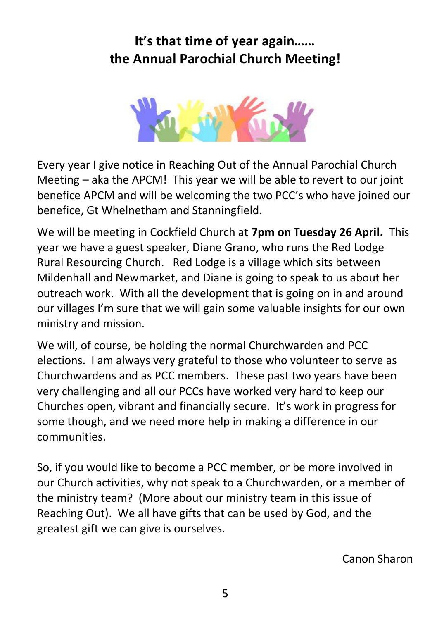# **It's that time of year again…… the Annual Parochial Church Meeting!**



Every year I give notice in Reaching Out of the Annual Parochial Church Meeting – aka the APCM! This year we will be able to revert to our joint benefice APCM and will be welcoming the two PCC's who have joined our benefice, Gt Whelnetham and Stanningfield.

We will be meeting in Cockfield Church at **7pm on Tuesday 26 April.** This year we have a guest speaker, Diane Grano, who runs the Red Lodge Rural Resourcing Church. Red Lodge is a village which sits between Mildenhall and Newmarket, and Diane is going to speak to us about her outreach work. With all the development that is going on in and around our villages I'm sure that we will gain some valuable insights for our own ministry and mission.

We will, of course, be holding the normal Churchwarden and PCC elections. I am always very grateful to those who volunteer to serve as Churchwardens and as PCC members. These past two years have been very challenging and all our PCCs have worked very hard to keep our Churches open, vibrant and financially secure. It's work in progress for some though, and we need more help in making a difference in our communities.

So, if you would like to become a PCC member, or be more involved in our Church activities, why not speak to a Churchwarden, or a member of the ministry team? (More about our ministry team in this issue of Reaching Out). We all have gifts that can be used by God, and the greatest gift we can give is ourselves.

Canon Sharon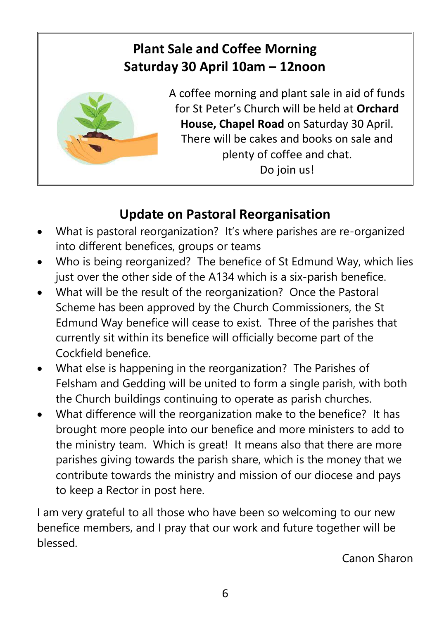# **Plant Sale and Coffee Morning Saturday 30 April 10am – 12noon**



A coffee morning and plant sale in aid of funds for St Peter's Church will be held at **Orchard House, Chapel Road** on Saturday 30 April. There will be cakes and books on sale and plenty of coffee and chat. Do join us!

# **Update on Pastoral Reorganisation**

- What is pastoral reorganization? It's where parishes are re-organized into different benefices, groups or teams
- Who is being reorganized? The benefice of St Edmund Way, which lies just over the other side of the A134 which is a six-parish benefice.
- What will be the result of the reorganization? Once the Pastoral Scheme has been approved by the Church Commissioners, the St Edmund Way benefice will cease to exist. Three of the parishes that currently sit within its benefice will officially become part of the Cockfield benefice.
- What else is happening in the reorganization? The Parishes of Felsham and Gedding will be united to form a single parish, with both the Church buildings continuing to operate as parish churches.
- What difference will the reorganization make to the benefice? It has brought more people into our benefice and more ministers to add to the ministry team. Which is great! It means also that there are more parishes giving towards the parish share, which is the money that we contribute towards the ministry and mission of our diocese and pays to keep a Rector in post here.

I am very grateful to all those who have been so welcoming to our new benefice members, and I pray that our work and future together will be blessed.

Canon Sharon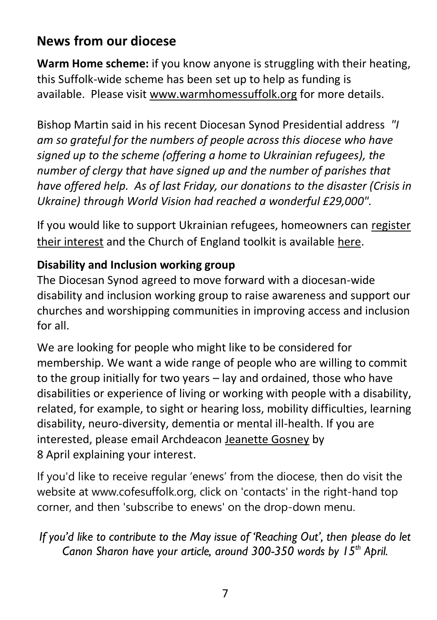## **News from our diocese**

**Warm Home scheme:** if you know anyone is struggling with their heating, this Suffolk-wide scheme has been set up to help as funding is available. Please visit [www.warmhomessuffolk.org](https://cofesuffolk.us2.list-manage.com/track/click?u=c52dd45d5732d5bd4c5aa7748&id=d253cd269c&e=e3c949620e) for more details.

Bishop Martin said in his recent Diocesan Synod Presidential address *"I am so grateful for the numbers of people across this diocese who have signed up to the scheme (offering a home to Ukrainian refugees), the number of clergy that have signed up and the number of parishes that have offered help. As of last Friday, our donations to the disaster (Crisis in Ukraine) through World Vision had reached a wonderful £29,000".*

If you would like to support Ukrainian refugees, homeowners can [register](https://cofesuffolk.us2.list-manage.com/track/click?u=c52dd45d5732d5bd4c5aa7748&id=76b0d9a8f3&e=e3c949620e)  [their interest](https://cofesuffolk.us2.list-manage.com/track/click?u=c52dd45d5732d5bd4c5aa7748&id=76b0d9a8f3&e=e3c949620e) and the Church of England toolkit is available [here.](https://cofesuffolk.us2.list-manage.com/track/click?u=c52dd45d5732d5bd4c5aa7748&id=eadcee3177&e=e3c949620e)

#### **Disability and Inclusion working group**

The Diocesan Synod agreed to move forward with a diocesan-wide disability and inclusion working group to raise awareness and support our churches and worshipping communities in improving access and inclusion for all.

We are looking for people who might like to be considered for membership. We want a wide range of people who are willing to commit to the group initially for two years – lay and ordained, those who have disabilities or experience of living or working with people with a disability, related, for example, to sight or hearing loss, mobility difficulties, learning disability, neuro-diversity, dementia or mental ill-health. If you are interested, please email Archdeacon [Jeanette Gosney](mailto:Archdeacon.Jeanette@cofesuffolk.org) by 8 April explaining your interest.

If you'd like to receive regular 'enews' from the diocese, then do visit the website at www.cofesuffolk.org, click on 'contacts' in the right-hand top corner, and then 'subscribe to enews' on the drop-down menu.

*If you'd like to contribute to the May issue of 'Reaching Out', then please do let Canon Sharon have your article, around 300-350 words by 15th April.*